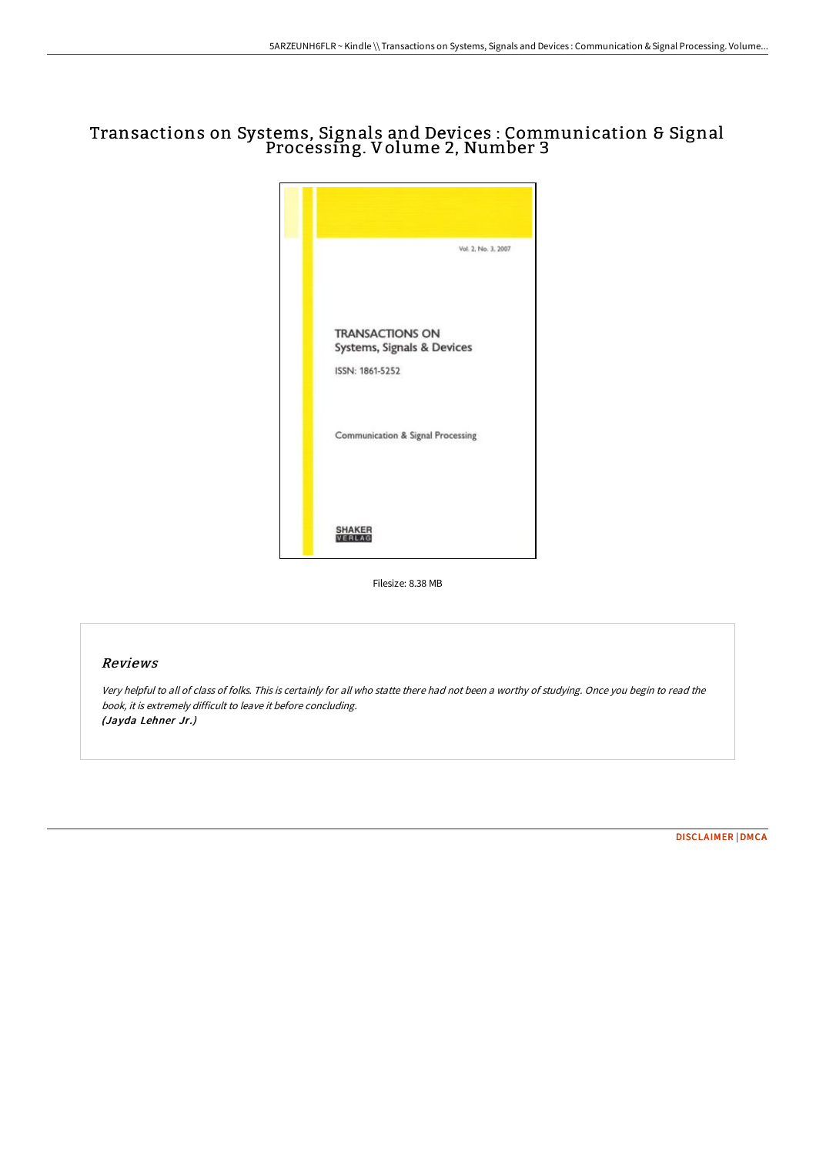# Transactions on Systems, Signals and Devices : Communication & Signal Processing. Volume 2, Number 3



Filesize: 8.38 MB

### Reviews

Very helpful to all of class of folks. This is certainly for all who statte there had not been <sup>a</sup> worthy of studying. Once you begin to read the book, it is extremely difficult to leave it before concluding. (Jayda Lehner Jr.)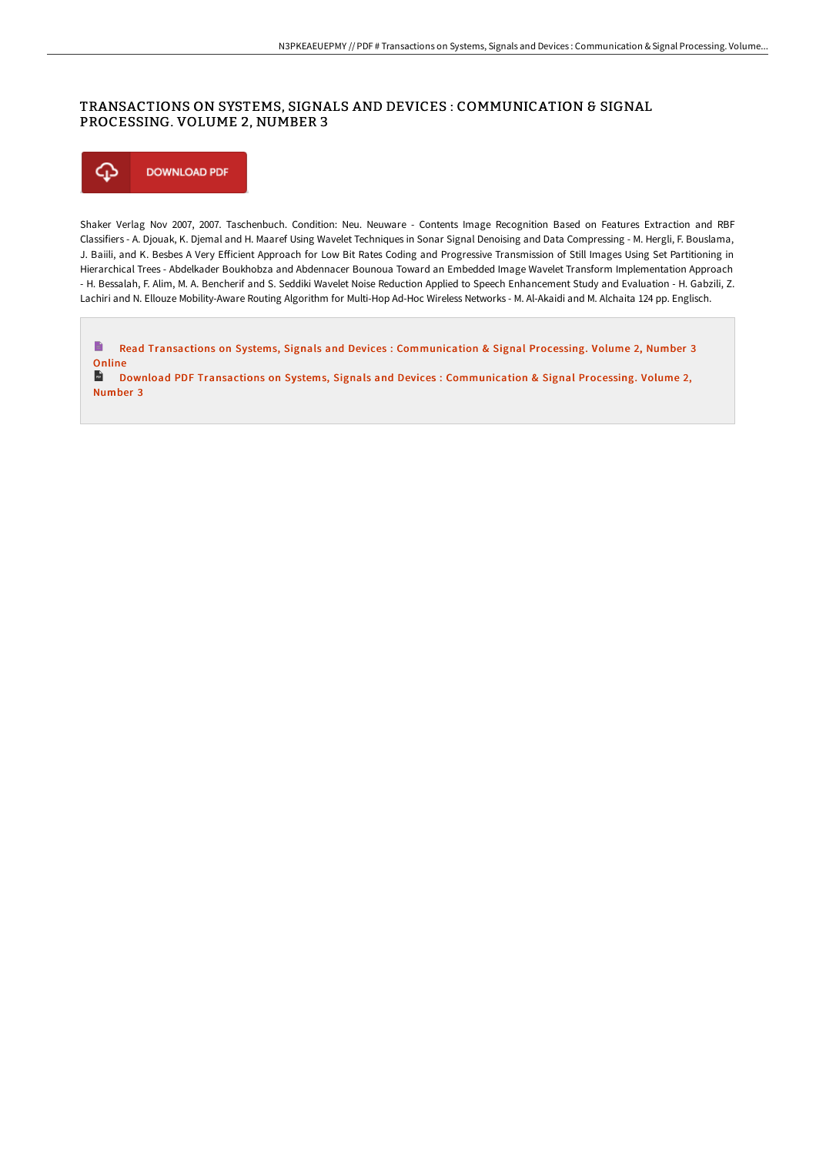# TRANSACTIONS ON SYSTEMS, SIGNALS AND DEVICES : COMMUNICATION & SIGNAL PROCESSING. VOLUME 2, NUMBER 3



Shaker Verlag Nov 2007, 2007. Taschenbuch. Condition: Neu. Neuware - Contents Image Recognition Based on Features Extraction and RBF Classifiers - A. Djouak, K. Djemal and H. Maaref Using Wavelet Techniques in Sonar Signal Denoising and Data Compressing - M. Hergli, F. Bouslama, J. Baiili, and K. Besbes A Very EFicient Approach for Low Bit Rates Coding and Progressive Transmission of Still Images Using Set Partitioning in Hierarchical Trees - Abdelkader Boukhobza and Abdennacer Bounoua Toward an Embedded Image Wavelet Transform Implementation Approach - H. Bessalah, F. Alim, M. A. Bencherif and S. Seddiki Wavelet Noise Reduction Applied to Speech Enhancement Study and Evaluation - H. Gabzili, Z. Lachiri and N. Ellouze Mobility-Aware Routing Algorithm for Multi-Hop Ad-Hoc Wireless Networks - M. Al-Akaidi and M. Alchaita 124 pp. Englisch.

E Read Transactions on Systems, Signals and Devices : [Communication](http://techno-pub.tech/transactions-on-systems-signals-and-devices-comm.html) & Signal Processing. Volume 2, Number 3 Online

 $\frac{1}{165}$ Download PDF Transactions on Systems, Signals and Devices : [Communication](http://techno-pub.tech/transactions-on-systems-signals-and-devices-comm.html) & Signal Processing. Volume 2, Number 3